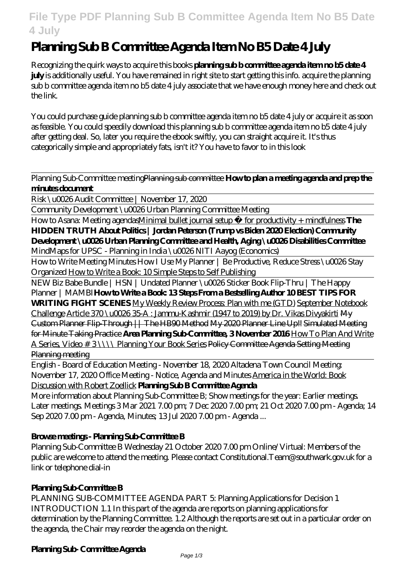## **File Type PDF Planning Sub B Committee Agenda Item No B5 Date 4 July**

# **Planning Sub B Committee Agenda Item No B5 Date 4 July**

Recognizing the quirk ways to acquire this books **planning sub b committee agenda item no b5 date 4 july** is additionally useful. You have remained in right site to start getting this info. acquire the planning sub b committee agenda item no b5 date 4 july associate that we have enough money here and check out the link.

You could purchase guide planning sub b committee agenda item no b5 date 4 july or acquire it as soon as feasible. You could speedily download this planning sub b committee agenda item no b5 date 4 july after getting deal. So, later you require the ebook swiftly, you can straight acquire it. It's thus categorically simple and appropriately fats, isn't it? You have to favor to in this look

#### Planning Sub-Committee meetingPlanning sub committee **How to plan a meeting agenda and prep the minutes document**

Risk \u0026 Audit Committee | November 17, 2020

Community Development \u0026 Urban Planning Committee Meeting

How to Asana: Meeting agendasMinimal bullet journal setup » for productivity + mindfulness **The HIDDEN TRUTH About Politics | Jordan Peterson (Trump vs Biden 2020 Election) Community Development \u0026 Urban Planning Committee and Health, Aging \u0026 Disabilities Committee**

*MindMaps for UPSC - Planning in India \u0026 NITI Aayog (Economics)*

How to Write Meeting Minutes How I Use My Planner | Be Productive, Reduce Stress \u0026 Stay Organized How to Write a Book: 10 Simple Steps to Self Publishing

NEW Biz Babe Bundle | HSN | Undated Planner \u0026 Sticker Book Flip-Thru | The Happy Planner | MAMBI**How to Write a Book: 13 Steps From a Bestselling Author 10 BEST TIPS FOR WRITING FIGHT SCENES** My Weekly Review Process: Plan with me (GTD) September Notebook Challenge Article 370 \u0026 35-A : Jammu-Kashmir (1947 to 2019) by Dr. Vikas Divyakirti My Custom Planner Flip-Through || The HB90 Method My 2020 Planner Line Up!! Simulated Meeting for Minute Taking Practice **Area Planning Sub-Committee, 3 November 2016** How To Plan And Write A Series, Video # 3 \\\\ Planning Your Book Series Policy Committee Agenda Setting Meeting **Planning meeting** 

English - Board of Education Meeting - November 18, 2020 Altadena Town Council Meeting: November 17, 2020 Office Meeting - Notice, Agenda and Minutes America in the World: Book Discussion with Robert Zoellick **Planning Sub B Committee Agenda**

More information about Planning Sub-Committee B; Show meetings for the year: Earlier meetings. Later meetings. Meetings 3 Mar 2021 7.00 pm; 7 Dec 2020 7.00 pm; 21 Oct 2020 7.00 pm - Agenda; 14 Sep 2020 7.00 pm - Agenda, Minutes; 13 Jul 2020 7.00 pm - Agenda ...

## **Browse meetings - Planning Sub-Committee B**

Planning Sub-Committee B Wednesday 21 October 2020 7.00 pm Online/Virtual: Members of the public are welcome to attend the meeting. Please contact Constitutional.Team@southwark.gov.uk for a link or telephone dial-in

## **Planing Sub Committee B**

PLANNING SUB-COMMITTEE AGENDA PART 5: Planning Applications for Decision 1 INTRODUCTION 1.1 In this part of the agenda are reports on planning applications for determination by the Planning Committee. 1.2 Although the reports are set out in a particular order on the agenda, the Chair may reorder the agenda on the night.

## **Planning Sub- Committee Agenda**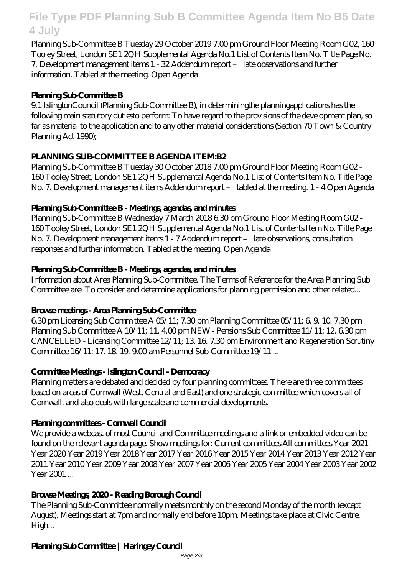## **File Type PDF Planning Sub B Committee Agenda Item No B5 Date 4 July**

Planning Sub-Committee B Tuesday 29 October 2019 7.00 pm Ground Floor Meeting Room G02, 160 Tooley Street, London SE1 2QH Supplemental Agenda No.1 List of Contents Item No. Title Page No. 7. Development management items 1 - 32 Addendum report – late observations and further information. Tabled at the meeting. Open Agenda

#### **Planning Sub-Committee B**

9.1 IslingtonCouncil (Planning Sub-Committee B), in determiningthe planningapplications has the following main statutory dutiesto perform: To have regard to the provisions of the development plan, so far as material to the application and to any other material considerations (Section 70 Town & Country Planning Act 1990);

#### **PLANNING SUB-COMMITTEE B AGENDA ITEM:B2**

Planning Sub-Committee B Tuesday 30 October 2018 7.00 pm Ground Floor Meeting Room G02 - 160 Tooley Street, London SE1 2QH Supplemental Agenda No.1 List of Contents Item No. Title Page No. 7. Development management items Addendum report – tabled at the meeting. 1 - 4 Open Agenda

#### **Planning Sub-Committee B - Meetings, agendas, and minutes**

Planning Sub-Committee B Wednesday 7 March 2018 6.30 pm Ground Floor Meeting Room G02 -160 Tooley Street, London SE1 2QH Supplemental Agenda No.1 List of Contents Item No. Title Page No. 7. Development management items 1 - 7 Addendum report – late observations, consultation responses and further information. Tabled at the meeting. Open Agenda

#### **Planning Sub-Committee B - Meetings, agendas, and minutes**

Information about Area Planning Sub-Committee. The Terms of Reference for the Area Planning Sub Committee are: To consider and determine applications for planning permission and other related...

#### **Browse meetings - Area Planning Sub-Committee**

6.30 pm Licensing Sub Committee A 05/11; 7.30 pm Planning Committee 05/11; 6. 9. 10. 7.30 pm Planning Sub Committee A 10/11; 11. 400 pm NEW - Pensions Sub Committee 11/11; 12. 6.30 pm CANCELLED - Licensing Committee 12/11; 13. 16. 7.30 pm Environment and Regeneration Scrutiny Committee 16/11; 17. 18. 19. 9.00 am Personnel Sub-Committee 19/11 ...

## **Committee Meetings - Islington Council - Democracy**

Planning matters are debated and decided by four planning committees. There are three committees based on areas of Cornwall (West, Central and East) and one strategic committee which covers all of Cornwall, and also deals with large scale and commercial developments.

## **Planing committees - Convall Council**

We provide a webcast of most Council and Committee meetings and a link or embedded video can be found on the relevant agenda page. Show meetings for: Current committees All committees Year 2021 Year 2020 Year 2019 Year 2018 Year 2017 Year 2016 Year 2015 Year 2014 Year 2013 Year 2012 Year 2011 Year 2010 Year 2009 Year 2008 Year 2007 Year 2006 Year 2005 Year 2004 Year 2003 Year 2002 Year 2001...

## **Browse Meetings, 2020 - Reading Borough Council**

The Planning Sub-Committee normally meets monthly on the second Monday of the month (except August). Meetings start at 7pm and normally end before 10pm. Meetings take place at Civic Centre, High...

## **Planning Sub Committee | Haringey Council**